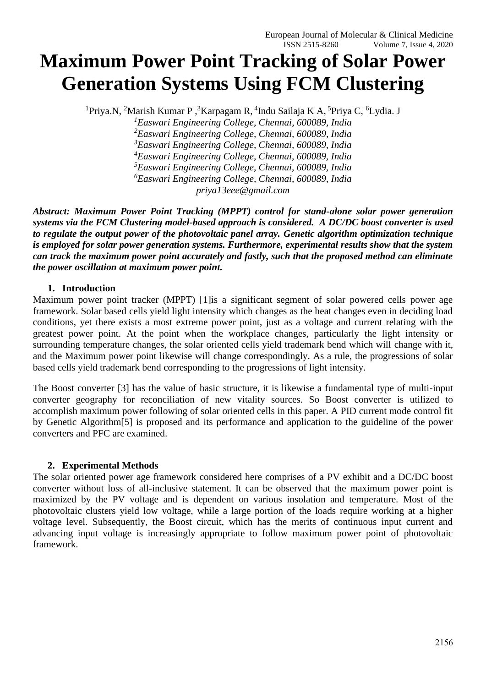# **Maximum Power Point Tracking of Solar Power Generation Systems Using FCM Clustering**

<sup>1</sup>Priya.N, <sup>2</sup>Marish Kumar P,<sup>3</sup>Karpagam R,<sup>4</sup>Indu Sailaja K A,<sup>5</sup>Priya C, <sup>6</sup>Lydia. J

*Easwari Engineering College, Chennai, 600089, India Easwari Engineering College, Chennai, 600089, India Easwari Engineering College, Chennai, 600089, India Easwari Engineering College, Chennai, 600089, India Easwari Engineering College, Chennai, 600089, India Easwari Engineering College, Chennai, 600089, India priya13eee@gmail.com*

*Abstract: Maximum Power Point Tracking (MPPT) control for stand-alone solar power generation systems via the FCM Clustering model-based approach is considered. A DC/DC boost converter is used to regulate the output power of the photovoltaic panel array. Genetic algorithm optimization technique is employed for solar power generation systems. Furthermore, experimental results show that the system can track the maximum power point accurately and fastly, such that the proposed method can eliminate the power oscillation at maximum power point.*

### **1. Introduction**

Maximum power point tracker (MPPT) [1]is a significant segment of solar powered cells power age framework. Solar based cells yield light intensity which changes as the heat changes even in deciding load conditions, yet there exists a most extreme power point, just as a voltage and current relating with the greatest power point. At the point when the workplace changes, particularly the light intensity or surrounding temperature changes, the solar oriented cells yield trademark bend which will change with it, and the Maximum power point likewise will change correspondingly. As a rule, the progressions of solar based cells yield trademark bend corresponding to the progressions of light intensity.

The Boost converter [3] has the value of basic structure, it is likewise a fundamental type of multi-input converter geography for reconciliation of new vitality sources. So Boost converter is utilized to accomplish maximum power following of solar oriented cells in this paper. A PID current mode control fit by Genetic Algorithm[5] is proposed and its performance and application to the guideline of the power converters and PFC are examined.

# **2. Experimental Methods**

The solar oriented power age framework considered here comprises of a PV exhibit and a DC/DC boost converter without loss of all-inclusive statement. It can be observed that the maximum power point is maximized by the PV voltage and is dependent on various insolation and temperature. Most of the photovoltaic clusters yield low voltage, while a large portion of the loads require working at a higher voltage level. Subsequently, the Boost circuit, which has the merits of continuous input current and advancing input voltage is increasingly appropriate to follow maximum power point of photovoltaic framework.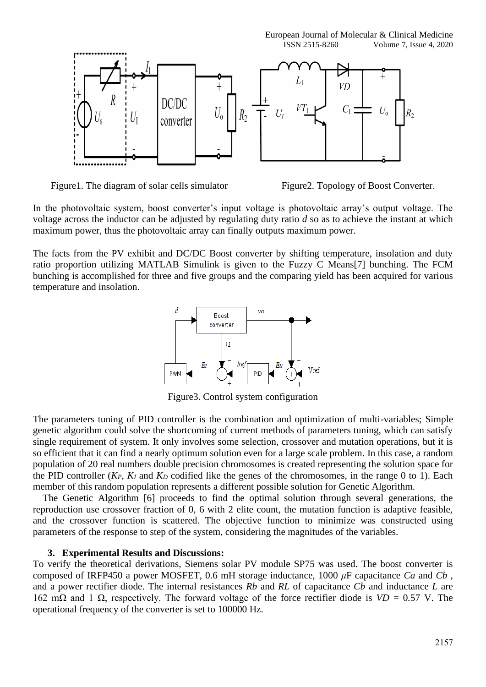

Figure1. The diagram of solar cells simulator Figure2. Topology of Boost Converter.

In the photovoltaic system, boost converter's input voltage is photovoltaic array's output voltage. The voltage across the inductor can be adjusted by regulating duty ratio *d* so as to achieve the instant at which maximum power, thus the photovoltaic array can finally outputs maximum power.

The facts from the PV exhibit and DC/DC Boost converter by shifting temperature, insolation and duty ratio proportion utilizing MATLAB Simulink is given to the Fuzzy C Means[7] bunching. The FCM bunching is accomplished for three and five groups and the comparing yield has been acquired for various temperature and insolation.



Figure3. Control system configuration

The parameters tuning of PID controller is the combination and optimization of multi-variables; Simple genetic algorithm could solve the shortcoming of current methods of parameters tuning, which can satisfy single requirement of system. It only involves some selection, crossover and mutation operations, but it is so efficient that it can find a nearly optimum solution even for a large scale problem. In this case, a random population of 20 real numbers double precision chromosomes is created representing the solution space for the PID controller  $(K_P, K_I$  and  $K_D$  codified like the genes of the chromosomes, in the range 0 to 1). Each member of this random population represents a different possible solution for Genetic Algorithm.

 The Genetic Algorithm [6] proceeds to find the optimal solution through several generations, the reproduction use crossover fraction of 0, 6 with 2 elite count, the mutation function is adaptive feasible, and the crossover function is scattered. The objective function to minimize was constructed using parameters of the response to step of the system, considering the magnitudes of the variables.

# **3. Experimental Results and Discussions:**

To verify the theoretical derivations, Siemens solar PV module SP75 was used. The boost converter is composed of IRFP450 a power MOSFET, 0.6 mH storage inductance, 1000 *μ*F capacitance *Ca* and *Cb* , and a power rectifier diode. The internal resistances *Rb* and *RL* of capacitance *Cb* and inductance *L* are 162 mΩ and 1 Ω, respectively. The forward voltage of the force rectifier diode is *VD* = 0*.*57 V. The operational frequency of the converter is set to 100000 Hz.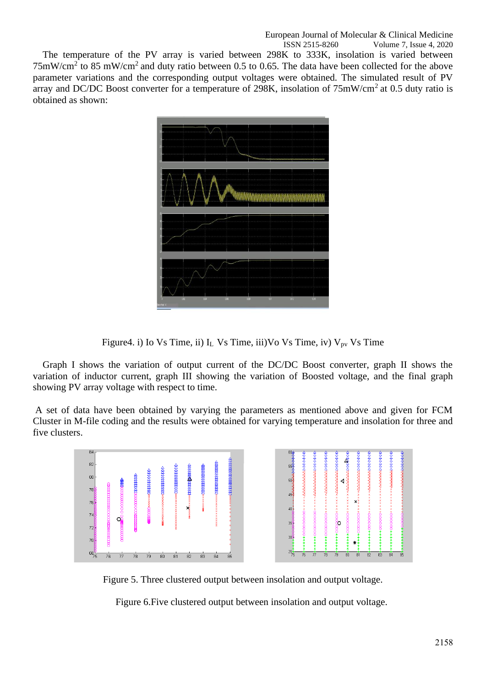The temperature of the PV array is varied between 298K to 333K, insolation is varied between  $75 \text{mW/cm}^2$  to 85 mW/cm<sup>2</sup> and duty ratio between 0.5 to 0.65. The data have been collected for the above parameter variations and the corresponding output voltages were obtained. The simulated result of PV array and DC/DC Boost converter for a temperature of 298K, insolation of  $75 \text{mW/cm}^2$  at 0.5 duty ratio is obtained as shown:



Figure4. i) Io Vs Time, ii) I<sub>L</sub> Vs Time, iii) Vo Vs Time, iv)  $V_{pv}$  Vs Time

 Graph I shows the variation of output current of the DC/DC Boost converter, graph II shows the variation of inductor current, graph III showing the variation of Boosted voltage, and the final graph showing PV array voltage with respect to time.

A set of data have been obtained by varying the parameters as mentioned above and given for FCM Cluster in M-file coding and the results were obtained for varying temperature and insolation for three and five clusters.



Figure 5. Three clustered output between insolation and output voltage.

Figure 6.Five clustered output between insolation and output voltage.